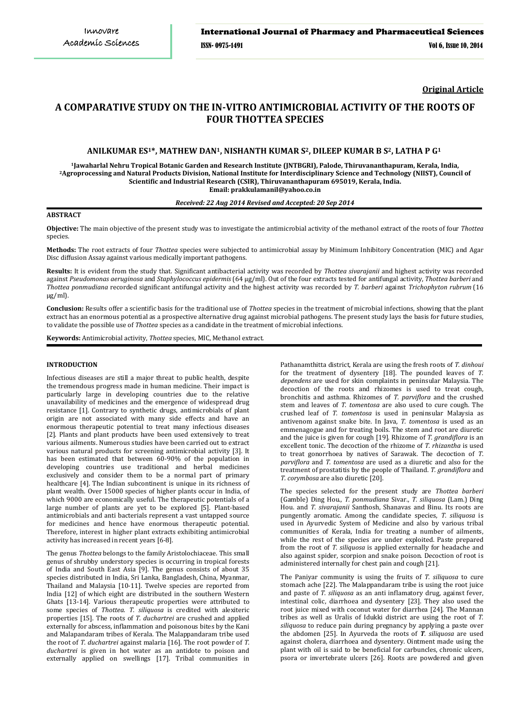**Original Article**

# **A COMPARATIVE STUDY ON THE IN-VITRO ANTIMICROBIAL ACTIVITY OF THE ROOTS OF FOUR THOTTEA SPECIES**

# **ANILKUMAR ES1\*, MATHEW DAN1, NISHANTH KUMAR S2, DILEEP KUMAR B S2, LATHA P G<sup>1</sup>**

**<sup>1</sup>Jawaharlal Nehru Tropical Botanic Garden and Research Institute (JNTBGRI), Palode, Thiruvananthapuram, Kerala, India, <sup>2</sup>Agroprocessing and Natural Products Division, National Institute for Interdisciplinary Science and Technology (NIIST), Council of Scientific and Industrial Research (CSIR), Thiruvananthapuram 695019, Kerala, India. Email: prakkulamanil@yahoo.co.in**

# *Received: 22 Aug 2014 Revised and Accepted: 20 Sep 2014*

# **ABSTRACT**

**Objective:** The main objective of the present study was to investigate the antimicrobial activity of the methanol extract of the roots of four *Thottea*  species.

**Methods:** The root extracts of four *Thottea* species were subjected to antimicrobial assay by Minimum Inhibitory Concentration (MIC) and Agar Disc diffusion Assay against various medically important pathogens.

**Results:** It is evident from the study that. Significant antibacterial activity was recorded by *Thottea sivarajanii* and highest activity was recorded against *Pseudomonas aeruginosa* and *Staphylococcus epidermis* (64 µg/ml). Out of the four extracts tested for antifungal activity, *Thottea barberi* and *Thottea ponmudiana* recorded significant antifungal activity and the highest activity was recorded by *T. barberi* against *Trichophyton rubrum* (16 µg/ml).

**Conclusion:** Results offer a scientific basis for the traditional use of *Thottea* species in the treatment of microbial infections, showing that the plant extract has an enormous potential as a prospective alternative drug against microbial pathogens. The present study lays the basis for future studies, to validate the possible use of *Thottea* species as a candidate in the treatment of microbial infections.

**Keywords:** Antimicrobial activity, *Thottea* species, MIC, Methanol extract.

# **INTRODUCTION**

Infectious diseases are still a major threat to public health, despite the tremendous progress made in human medicine. Their impact is particularly large in developing countries due to the relative unavailability of medicines and the emergence of widespread drug resistance [1]. Contrary to synthetic drugs, antimicrobials of plant origin are not associated with many side effects and have an enormous therapeutic potential to treat many infectious diseases [2]. Plants and plant products have been used extensively to treat various ailments. Numerous studies have been carried out to extract various natural products for screening antimicrobial activity [3]. It has been estimated that between 60-90% of the population in developing countries use traditional and herbal medicines exclusively and consider them to be a normal part of primary healthcare [4]. The Indian subcontinent is unique in its richness of plant wealth. Over 15000 species of higher plants occur in India, of which 9000 are economically useful. The therapeutic potentials of a large number of plants are yet to be explored [5]. Plant-based antimicrobials and anti bacterials represent a vast untapped source for medicines and hence have enormous therapeutic potential. Therefore, interest in higher plant extracts exhibiting antimicrobial activity has increased in recent years [6-8].

The genus *Thottea* belongs to the family Aristolochiaceae. This small genus of shrubby understory species is occurring in tropical forests of India and South East Asia [9]. The genus consists of about 35 species distributed in India, Sri Lanka, Bangladesh, China, Myanmar, Thailand and Malaysia [10-11]. Twelve species are reported from India [12] of which eight are distributed in the southern Western Ghats [13-14]. Various therapeutic properties were attributed to some species of *Thottea*. *T. siliquosa* is credited with alexiteric properties [15]. The roots of *T. duchartrei* are crushed and applied externally for abscess, inflammation and poisonous bites by the Kani and Malapandaram tribes of Kerala. The Malappandaram tribe used the root of *T. duchartrei* against malaria [16]. The root powder of *T. duchartrei* is given in hot water as an antidote to poison and externally applied on swellings [17]. Tribal communities in

Pathanamthitta district, Kerala are using the fresh roots of *T. dinhoui* for the treatment of dysentery [18]. The pounded leaves of *T. dependens* are used for skin complaints in peninsular Malaysia. The decoction of the roots and rhizomes is used to treat cough, bronchitis and asthma. Rhizomes of *T. parviflora* and the crushed stem and leaves of *T*. *tomentosa* are also used to cure cough. The crushed leaf of *T. tomentosa* is used in peninsular Malaysia as antivenom against snake bite. In Java, *T. tomentosa* is used as an emmenagogue and for treating boils. The stem and root are diuretic and the juice is given for cough [19]. Rhizome of *T. grandiflora* is an excellent tonic. The decoction of the rhizome of *T. rhizantha* is used to treat gonorrhoea by natives of Sarawak. The decoction of *T*. *parviflora* and *T. tomentosa* are used as a diuretic and also for the treatment of prostatitis by the people of Thailand. *T. grandiflora* and *T. corymbosa* are also diuretic [20].

The species selected for the present study are *Thottea barberi*  (Gamble) Ding Hou., *T. ponmudiana* Sivar., *T. siliquosa* (Lam.) Ding Hou. and *T. sivarajanii* Santhosh, Shanavas and Binu. Its roots are pungently aromatic. Among the candidate species, *T. siliquosa* is used in Ayurvedic System of Medicine and also by various tribal communities of Kerala, India for treating a number of ailments, while the rest of the species are under exploited. Paste prepared from the root of *T. siliquosa* is applied externally for headache and also against spider, scorpion and snake poison. Decoction of root is administered internally for chest pain and cough [21].

The Paniyar community is using the fruits of *T. siliquosa* to cure stomach ache [22]. The Malappandaram tribe is using the root juice and paste of *T. siliquosa* as an anti inflamatory drug, against fever, intestinal colic, diarrhoea and dysentery [23]. They also used the root juice mixed with coconut water for diarrhea [24]. The Mannan tribes as well as Uralis of Idukki district are using the root of *T. siliquosa* to reduce pain during pregnancy by applying a paste over the abdomen [25]. In Ayurveda the roots of *T. siliquosa* are used against cholera, diarrhoea and dysentery. Ointment made using the plant with oil is said to be beneficial for carbuncles, chronic ulcers, psora or invertebrate ulcers [26]. Roots are powdered and given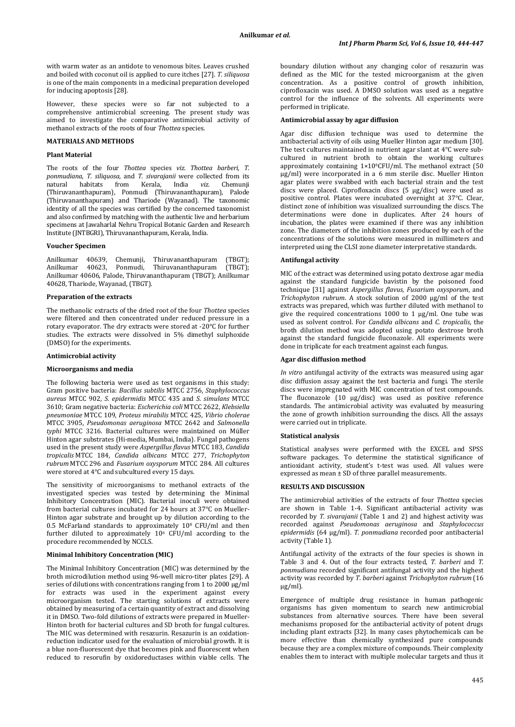with warm water as an antidote to venomous bites. Leaves crushed and boiled with coconut oil is applied to cure itches [27]. *T. siliquosa* is one of the main components in a medicinal preparation developed for inducing apoptosis [28].

However, these species were so far not subjected to a comprehensive antimicrobial screening. The present study was aimed to investigate the comparative antimicrobial activity of methanol extracts of the roots of four *Thottea* species.

# **MATERIALS AND METHODS**

# **Plant Material**

The roots of the four *Thottea* species *viz. Thottea barberi, T. ponmudiana*, *T. siliquosa*, and *T. sivarajanii* were collected from its from Kerala, India (Thiruvananthapuram), Ponmudi (Thiruvananthapuram), Palode (Thiruvananthapuram) and Thariode (Wayanad). The taxonomic identity of all the species was certified by the concerned taxonomist and also confirmed by matching with the authentic live and herbarium specimens at Jawaharlal Nehru Tropical Botanic Garden and Research Institute (JNTBGRI), Thiruvananthapuram, Kerala, India.

# **Voucher Specimen**

Anilkumar 40639, Chemunji, Thiruvananthapuram (TBGT); Anilkumar 40623, Ponmudi, Thiruvananthapuram (TBGT); Anilkumar 40606, Palode, Thiruvananthapuram (TBGT); Anilkumar 40628, Thariode, Wayanad, (TBGT).

#### **Preparation of the extracts**

The methanolic extracts of the dried root of the four *Thottea*  species were filtered and then concentrated under reduced pressure in a rotary evaporator. The dry extracts were stored at -20°C for further studies. The extracts were dissolved in 5% dimethyl sulphoxide (DMSO) for the experiments.

#### **Antimicrobial activity**

#### **Microorganisms and media**

The following bacteria were used as test organisms in this study: Gram positive bacteria: *Bacillus subtilis* MTCC 2756, *Staphylococcus aureus* MTCC 902, *S. epidermidis* MTCC 435 and *S. simulans* MTCC 3610; Gram negative bacteria: *Escherichia coli* MTCC 2622, *Klebsiella pneumoniae* MTCC 109, *Proteus mirabilis* MTCC 425, *Vibrio cholerae*  MTCC 3905, *Pseudomonas aeruginosa* MTCC 2642 and *Salmonella typhi* MTCC 3216. Bacterial cultures were maintained on Müller Hinton agar substrates (Hi-media, Mumbai, India). Fungal pathogens used in the present study were *Aspergillus flavus* MTCC 183, *Candida tropicalis* MTCC 184, *Candida albicans* MTCC 277, *Trichophyton rubrum* MTCC 296 and *Fusarium oxysporum* MTCC 284. All cultures were stored at 4°C and subcultured every 15 days.

The sensitivity of microorganisms to methanol extracts of the investigated species was tested by determining the Minimal Inhibitory Concentration (MIC). Bacterial inoculi were obtained from bacterial cultures incubated for 24 hours at 37°C on Mueller-Hinton agar substrate and brought up by dilution according to the 0.5 McFarland standards to approximately 10 <sup>8</sup> CFU/ml and then further diluted to approximately 106 CFU/ml according to the procedure recommended by NCCLS.

# **Minimal Inhibitory Concentration (MIC)**

The Minimal Inhibitory Concentration (MIC) was determined by the broth microdilution method using 96-well micro-titer plates [29]. A series of dilutions with concentrations ranging from 1 to 2000 µg/ml for extracts was used in the experiment against every microorganism tested. The starting solutions of extracts were obtained by measuring of a certain quantity of extract and dissolving it in DMSO. Two-fold dilutions of extracts were prepared in Mueller-Hinton broth for bacterial cultures and SD broth for fungal cultures. The MIC was determined with resazurin. Resazurin is an oxidationreduction indicator used for the evaluation of microbial growth. It is a blue non-fluorescent dye that becomes pink and fluorescent when reduced to resorufin by oxidoreductases within viable cells. The

boundary dilution without any changing color of resazurin was defined as the MIC for the tested microorganism at the given concentration. As a positive control of growth inhibition, ciprofloxacin was used. A DMSO solution was used as a negative control for the influence of the solvents. All experiments were performed in triplicate.

#### **Antimicrobial assay by agar diffusion**

Agar disc diffusion technique was used to determine the antibacterial activity of oils using Mueller Hinton agar medium [30]. The test cultures maintained in nutrient agar slant at 4°C were subcultured in nutrient broth to obtain the working cultures approximately containing 1×106 CFU/ml. The methanol extract (50 µg/ml) were incorporated in a 6 mm sterile disc. Mueller Hinton agar plates were swabbed with each bacterial strain and the test discs were placed. Ciprofloxacin discs (5 μg/disc) were used as positive control. Plates were incubated overnight at 37°C. Clear, distinct zone of inhibition was visualized surrounding the discs. The determinations were done in duplicates. After 24 hours of incubation, the plates were examined if there was any inhibition zone. The diameters of the inhibition zones produced by each of the concentrations of the solutions were measured in millimeters and interpreted using the CLSI zone diameter interpretative standards.

# **Antifungal activity**

MIC of the extract was determined using potato dextrose agar media against the standard fungicide bavistin by the poisoned food technique [31] against *Aspergillus flavus*, *Fusarium oxysporum*, and *Trichophyton rubrum*. A stock solution of 2000 µg/ml of the test extracts was prepared, which was further diluted with methanol to give the required concentrations 1000 to 1 µg/ml. One tube was used as solvent control. For *Candida albicans* and *C. tropicalis*, the broth dilution method was adopted using potato dextrose broth against the standard fungicide fluconazole. All experiments were done in triplicate for each treatment against each fungus.

# **Agar disc diffusion method**

*In vitro* antifungal activity of the extracts was measured using agar disc diffusion assay against the test bacteria and fungi. The sterile discs were impregnated with MIC concentration of test compounds. The fluconazole (10 µg/disc) was used as positive reference standards. The antimicrobial activity was evaluated by measuring the zone of growth inhibition surrounding the discs. All the assays were carried out in triplicate.

#### **Statistical analysis**

Statistical analyses were performed with the EXCEL and SPSS software packages. To determine the statistical significance of antioxidant activity, student's t-test was used. All values were expressed as mean ± SD of three parallel measurements.

# **RESULTS AND DISCUSSION**

The antimicrobial activities of the extracts of four *Thottea* species are shown in Table 1-4. Significant antibacterial activity was recorded by *T. sivarajanii* (Table 1 and 2) and highest activity was recorded against *Pseudomonas aeruginosa* and *Staphylococcus epidermidis* (64 µg/ml). *T. ponmudiana* recorded poor antibacterial activity (Table 1).

Antifungal activity of the extracts of the four species is shown in Table 3 and 4. Out of the four extracts tested, *T. barberi* and *T. ponmudiana* recorded significant antifungal activity and the highest activity was recorded by *T*. *barberi* against *Trichophyton rubrum* (16  $\mu$ g/ml).

Emergence of multiple drug resistance in human pathogenic organisms has given momentum to search new antimicrobial substances from alternative sources. There have been several mechanisms proposed for the antibacterial activity of potent drugs including plant extracts [32]. In many cases phytochemicals can be more effective than chemically synthesized pure compounds because they are a complex mixture of compounds. Their complexity enables them to interact with multiple molecular targets and thus it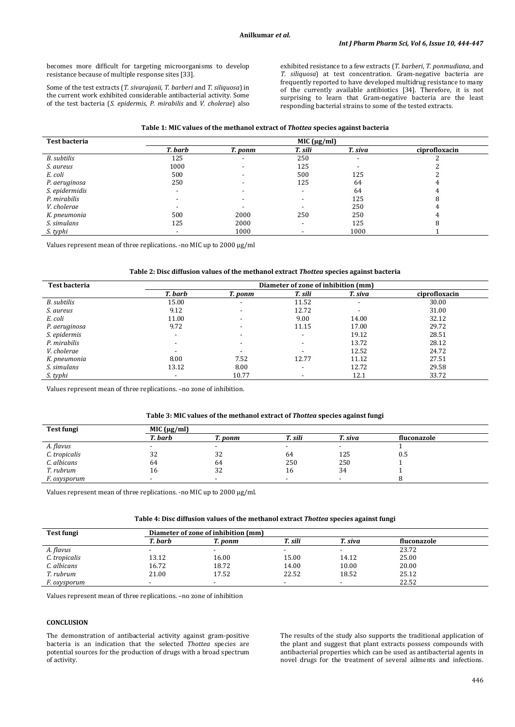becomes more difficult for targeting microorganisms to develop resistance because of multiple response sites [33].

Some of the test extracts (*T. sivarajanii*, *T. barberi* and *T. siliquosa*) in the current work exhibited considerable antibacterial activity. Some of the test bacteria (*S. epidermis*, *P. mirabilis* and *V. cholerae*) also exhibited resistance to a few extracts (*T. barberi*, *T. ponmudiana*, and *T. siliquosa*) at test concentration. Gram-negative bacteria are frequently reported to have developed multidrug resistance to many of the currently available antibiotics [34]. Therefore, it is not surprising to learn that Gram-negative bacteria are the least responding bacterial strains to some of the tested extracts.

| <b>Test bacteria</b> | MIC $(\mu g/ml)$         |                          |                          |                          |               |  |
|----------------------|--------------------------|--------------------------|--------------------------|--------------------------|---------------|--|
|                      | T. barb                  | T. ponm                  | T. sili                  | T. siva                  | ciprofloxacin |  |
| B. subtilis          | 125                      | $\overline{\phantom{a}}$ | 250                      | $\overline{\phantom{a}}$ |               |  |
| S. aureus            | 1000                     |                          | 125                      |                          |               |  |
| E. coli              | 500                      |                          | 500                      | 125                      |               |  |
| P. aeruginosa        | 250                      |                          | 125                      | 64                       |               |  |
| S. epidermidis       | $\overline{\phantom{a}}$ |                          | $\overline{\phantom{a}}$ | 64                       |               |  |
| P. mirabilis         |                          |                          |                          | 125                      |               |  |
| V. cholerae          |                          |                          |                          | 250                      |               |  |
| K. pneumonia         | 500                      | 2000                     | 250                      | 250                      |               |  |
| S. simulans          | 125                      | 2000                     | $\overline{\phantom{a}}$ | 125                      |               |  |
| S. typhi             |                          | 1000                     |                          | 1000                     |               |  |

Values represent mean of three replications. -no MIC up to 2000 µg/ml

### **Table 2: Disc diffusion values of the methanol extract** *Thottea* **species against bacteria**

| <b>Test bacteria</b> | Diameter of zone of inhibition (mm) |                          |                          |                          |               |  |
|----------------------|-------------------------------------|--------------------------|--------------------------|--------------------------|---------------|--|
|                      | T. barb                             | T. ponm                  | T. sili                  | T. siva                  | ciprofloxacin |  |
| B. subtilis          | 15.00                               | $\overline{\phantom{a}}$ | 11.52                    | $\overline{\phantom{a}}$ | 30.00         |  |
| S. aureus            | 9.12                                | $\overline{\phantom{a}}$ | 12.72                    | $\overline{\phantom{0}}$ | 31.00         |  |
| E. coli              | 11.00                               | $\overline{\phantom{a}}$ | 9.00                     | 14.00                    | 32.12         |  |
| P. aeruginosa        | 9.72                                | $\overline{\phantom{a}}$ | 11.15                    | 17.00                    | 29.72         |  |
| S. epidermis         | $\overline{\phantom{0}}$            | $\overline{\phantom{a}}$ | $\overline{\phantom{a}}$ | 19.12                    | 28.51         |  |
| P. mirabilis         | $\overline{\phantom{a}}$            | $\overline{\phantom{a}}$ |                          | 13.72                    | 28.12         |  |
| V. cholerae          | $\overline{\phantom{0}}$            | $\overline{\phantom{a}}$ |                          | 12.52                    | 24.72         |  |
| K. pneumonia         | 8.00                                | 7.52                     | 12.77                    | 11.12                    | 27.51         |  |
| S. simulans          | 13.12                               | 8.00                     | -                        | 12.72                    | 29.58         |  |
| S. typhi             | $\overline{\phantom{a}}$            | 10.77                    |                          | 12.1                     | 33.72         |  |

Values represent mean of three replications. –no zone of inhibition.

#### **Table 3: MIC values of the methanol extract of** *Thottea* **species against fungi**

| <b>Test fungi</b> | MIC $(\mu g/ml)$ |         |         |         |             |  |
|-------------------|------------------|---------|---------|---------|-------------|--|
|                   | T. barb          | T. ponm | T. sili | T. siva | fluconazole |  |
| A. flavus         |                  |         |         |         |             |  |
| C. tropicalis     | 32               | 32      | 64      | 125     | 0.5         |  |
| C. albicans       | 64               | 64      | 250     | 250     |             |  |
| T. rubrum         | 16               | 32      | 16      | 34      |             |  |
| F. oxysporum      |                  |         |         |         |             |  |

Values represent mean of three replications. -no MIC up to 2000 µg/ml.

| Table 4: Disc diffusion values of the methanol extract <i>Thottea</i> species against fungi |  |  |  |  |
|---------------------------------------------------------------------------------------------|--|--|--|--|
|---------------------------------------------------------------------------------------------|--|--|--|--|

| Test fungi    | Diameter of zone of inhibition (mm) |         |         |         |             |
|---------------|-------------------------------------|---------|---------|---------|-------------|
|               | T. barb                             | T. ponm | T. sili | T. siva | fluconazole |
| A. flavus     |                                     |         |         |         | 23.72       |
| C. tropicalis | 13.12                               | 16.00   | 15.00   | 14.12   | 25.00       |
| C. albicans   | 16.72                               | 18.72   | 14.00   | 10.00   | 20.00       |
| T. rubrum     | 21.00                               | 17.52   | 22.52   | 18.52   | 25.12       |
| F. oxysporum  |                                     |         |         |         | 22.52       |

Values represent mean of three replications. –no zone of inhibition

# **CONCLUSION**

The demonstration of antibacterial activity against gram-positive bacteria is an indication that the selected *Thottea* species are potential sources for the production of drugs with a broad spectrum of activity.

The results of the study also supports the traditional application of the plant and suggest that plant extracts possess compounds with antibacterial properties which can be used as antibacterial agents in novel drugs for the treatment of several ailments and infections.